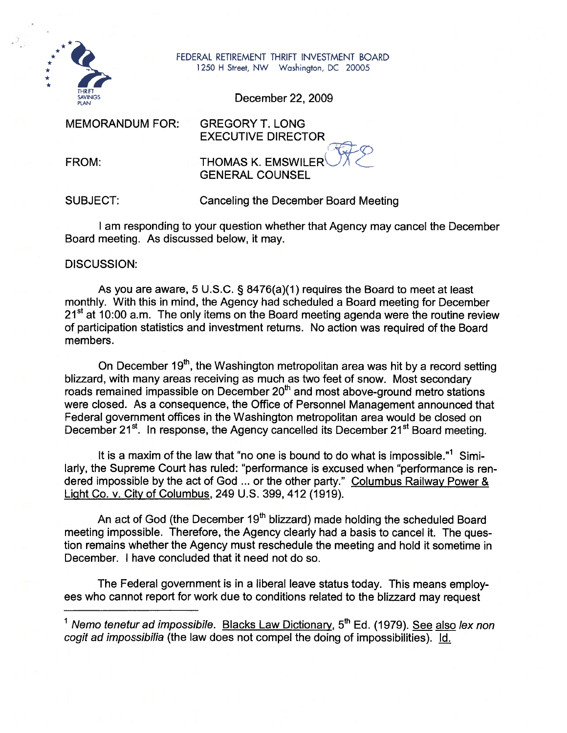

FEDERAL RETIREMENT THRIFT INVESTMENT BOARD 1250 H Street, NW Washington, DC 20005

December 22,2009

MEMORANDUM FOR: GREGORY T. LONG

FROM:

EXECUTIVE DIRECTOR<br>THOMAS K. EMSWILER GENERAL COUNSEL

SUBJECT:

Canceling the December Board Meeting

I am responding to your question whether that Agency may cancel the December Board meeting. As discussed below, it may.

DISCUSSION:

As you are aware, 5 U.S.C. § 8476(a)(I) requires the Board to meet at least monthly. With this in mind, the Agency had scheduled a Board meeting for December  $21<sup>st</sup>$  at 10:00 a.m. The only items on the Board meeting agenda were the routine review of participation statistics and investment returns. No action was required of the Board members.

On December 19<sup>th</sup>, the Washington metropolitan area was hit by a record setting blizzard, with many areas receiving as much as two feet of snow. Most secondary roads remained impassible on December 20<sup>th</sup> and most above-ground metro stations were closed. As a consequence, the Office of Personnel Management announced that Federal government offices in the Washington metropolitan area would be closed on December 21<sup>st</sup>. In response, the Agency cancelled its December 21<sup>st</sup> Board meeting.

It is a maxim of the law that "no one is bound to do what is impossible."' Similarly, the Supreme Court has ruled: "performance is excused when "performance is rendered impossible by the act of God ... or the other party." Columbus Railway Power & Liaht Co. v. City of Columbus, 249 U.S. 399,412 (1919).

An act of God (the December 19<sup>th</sup> blizzard) made holding the scheduled Board meeting impossible. Therefore, the Agency clearly had a basis to cancel it. The question remains whether the Agency must reschedule the meeting and hold it sometime in December. I have concluded that it need not do so.

The Federal government is in a liberal leave status today. This means employees who cannot report for work due to conditions related to the blizzard may request

<sup>&</sup>lt;sup>1</sup> Nemo tenetur ad impossibile. Blacks Law Dictionary,  $5<sup>th</sup>$  Ed. (1979). See also lex non cogit ad impossibilia (the law does not compel the doing of impossibilities). Id.